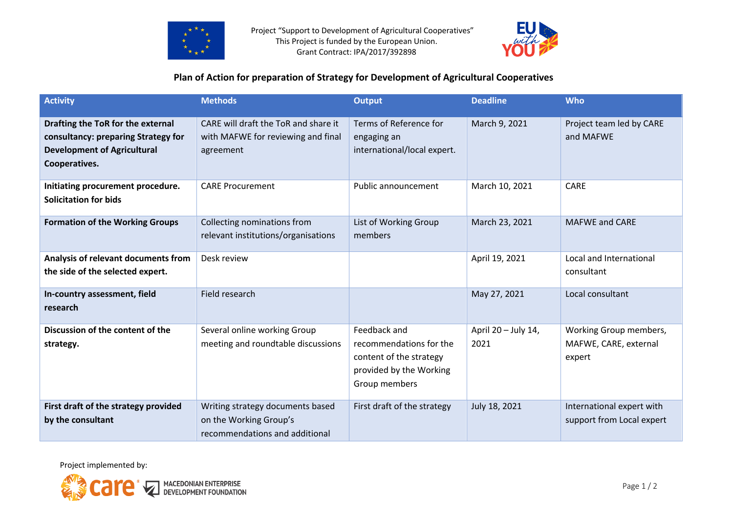



## **Plan of Action for preparation of Strategy for Development of Agricultural Cooperatives**

| <b>Activity</b>                                                                                                                 | <b>Methods</b>                                                                               | <b>Output</b>                                                                                                  | <b>Deadline</b>             | <b>Who</b>                                                |
|---------------------------------------------------------------------------------------------------------------------------------|----------------------------------------------------------------------------------------------|----------------------------------------------------------------------------------------------------------------|-----------------------------|-----------------------------------------------------------|
| Drafting the ToR for the external<br>consultancy: preparing Strategy for<br><b>Development of Agricultural</b><br>Cooperatives. | CARE will draft the ToR and share it<br>with MAFWE for reviewing and final<br>agreement      | Terms of Reference for<br>engaging an<br>international/local expert.                                           | March 9, 2021               | Project team led by CARE<br>and MAFWE                     |
| Initiating procurement procedure.<br><b>Solicitation for bids</b>                                                               | <b>CARE Procurement</b>                                                                      | Public announcement                                                                                            | March 10, 2021              | <b>CARE</b>                                               |
| <b>Formation of the Working Groups</b>                                                                                          | Collecting nominations from<br>relevant institutions/organisations                           | List of Working Group<br>members                                                                               | March 23, 2021              | <b>MAFWE and CARE</b>                                     |
| Analysis of relevant documents from<br>the side of the selected expert.                                                         | Desk review                                                                                  |                                                                                                                | April 19, 2021              | Local and International<br>consultant                     |
| In-country assessment, field<br>research                                                                                        | Field research                                                                               |                                                                                                                | May 27, 2021                | Local consultant                                          |
| Discussion of the content of the<br>strategy.                                                                                   | Several online working Group<br>meeting and roundtable discussions                           | Feedback and<br>recommendations for the<br>content of the strategy<br>provided by the Working<br>Group members | April 20 - July 14,<br>2021 | Working Group members,<br>MAFWE, CARE, external<br>expert |
| First draft of the strategy provided<br>by the consultant                                                                       | Writing strategy documents based<br>on the Working Group's<br>recommendations and additional | First draft of the strategy                                                                                    | July 18, 2021               | International expert with<br>support from Local expert    |

Project implemented by: